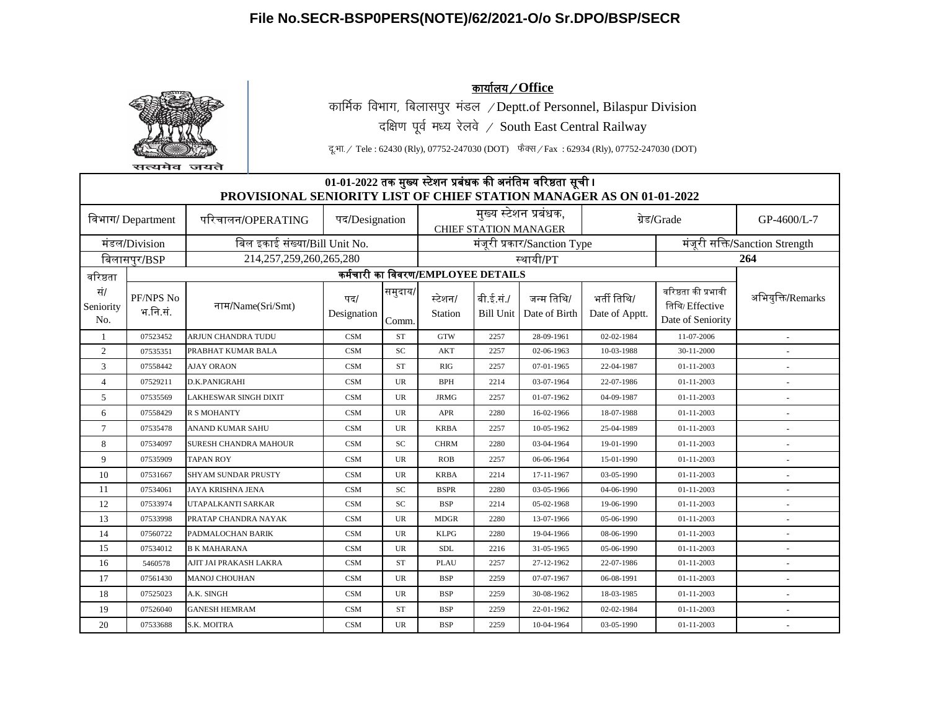

सत्यमेव जयते

<u>कार्यालय / Office</u> कार्मिक विभाग, बिलासपुर मंडल /Deptt.of Personnel, Bilaspur Division दक्षिण पूर्व मध्य रेलवे / South East Central Railway

दू.भा. / Tele : 62430 (Rly), 07752-247030 (DOT) फैक्स / Fax : 62934 (Rly), 07752-247030 (DOT)

|                         | 01-01-2022 तक मुख्य स्टेशन प्रबंधक की अनंतिम वरिष्ठता सूची।<br>PROVISIONAL SENIORITY LIST OF CHIEF STATION MANAGER AS ON 01-01-2022 |                               |                    |                  |                                    |                               |                              |                               |                                                            |                                |  |  |  |
|-------------------------|-------------------------------------------------------------------------------------------------------------------------------------|-------------------------------|--------------------|------------------|------------------------------------|-------------------------------|------------------------------|-------------------------------|------------------------------------------------------------|--------------------------------|--|--|--|
|                         |                                                                                                                                     |                               |                    |                  |                                    |                               |                              |                               |                                                            |                                |  |  |  |
|                         | विभाग/ Department                                                                                                                   | परिचालन/OPERATING             | पद/Designation     |                  |                                    |                               | मुख्य स्टेशन प्रबंधक,        |                               | ग्रेड/Grade                                                | GP-4600/L-7                    |  |  |  |
|                         |                                                                                                                                     |                               |                    |                  |                                    |                               | <b>CHIEF STATION MANAGER</b> |                               |                                                            |                                |  |  |  |
|                         | मंडल/Division                                                                                                                       | बिल इकाई संख्या/Bill Unit No. |                    |                  |                                    |                               | मंजूरी प्रकार/Sanction Type  |                               |                                                            | मंजूरी सक्ति/Sanction Strength |  |  |  |
|                         | बिलासपुर/BSP                                                                                                                        | 214,257,259,260,265,280       |                    |                  | स्थायी/PT                          |                               |                              | 264                           |                                                            |                                |  |  |  |
| वरिष्ठता                |                                                                                                                                     |                               |                    |                  | कर्मचारी का विवरण/EMPLOYEE DETAILS |                               |                              |                               |                                                            |                                |  |  |  |
| सं/<br>Seniority<br>No. | PF/NPS No<br>भ.नि.सं.                                                                                                               | नाम/Name(Sri/Smt)             | पद/<br>Designation | समुदाय/<br>Comm. | स्टेशन/<br>Station                 | बी.ई.सं./<br><b>Bill Unit</b> | जन्म तिथि/<br>Date of Birth  | भर्ती तिथि/<br>Date of Apptt. | वरिष्ठता की प्रभावी<br>तिथि/Effective<br>Date of Seniority | अभियुक्ति/Remarks              |  |  |  |
| $\mathbf{1}$            | 07523452                                                                                                                            | ARJUN CHANDRA TUDU            | <b>CSM</b>         | <b>ST</b>        | <b>GTW</b>                         | 2257                          | 28-09-1961                   | 02-02-1984                    | 11-07-2006                                                 | $\overline{a}$                 |  |  |  |
| 2                       | 07535351                                                                                                                            | PRABHAT KUMAR BALA            | <b>CSM</b>         | SC               | <b>AKT</b>                         | 2257                          | 02-06-1963                   | 10-03-1988                    | 30-11-2000                                                 |                                |  |  |  |
| 3                       | 07558442                                                                                                                            | AJAY ORAON                    | <b>CSM</b>         | <b>ST</b>        | RIG                                | 2257                          | 07-01-1965                   | 22-04-1987                    | 01-11-2003                                                 |                                |  |  |  |
| $\overline{4}$          | 07529211                                                                                                                            | D.K.PANIGRAHI                 | <b>CSM</b>         | UR               | BPH                                | 2214                          | 03-07-1964                   | 22-07-1986                    | 01-11-2003                                                 |                                |  |  |  |
| 5                       | 07535569                                                                                                                            | LAKHESWAR SINGH DIXIT         | <b>CSM</b>         | UR               | <b>JRMG</b>                        | 2257                          | 01-07-1962                   | 04-09-1987                    | $01 - 11 - 2003$                                           | $\overline{\phantom{a}}$       |  |  |  |
| 6                       | 07558429                                                                                                                            | <b>R S MOHANTY</b>            | <b>CSM</b>         | UR               | <b>APR</b>                         | 2280                          | 16-02-1966                   | 18-07-1988                    | 01-11-2003                                                 |                                |  |  |  |
| 7                       | 07535478                                                                                                                            | ANAND KUMAR SAHU              | <b>CSM</b>         | UR               | <b>KRBA</b>                        | 2257                          | 10-05-1962                   | 25-04-1989                    | $01 - 11 - 2003$                                           |                                |  |  |  |
| 8                       | 07534097                                                                                                                            | SURESH CHANDRA MAHOUR         | <b>CSM</b>         | SC               | <b>CHRM</b>                        | 2280                          | 03-04-1964                   | 19-01-1990                    | 01-11-2003                                                 |                                |  |  |  |
| 9                       | 07535909                                                                                                                            | <b>TAPAN ROY</b>              | <b>CSM</b>         | UR               | <b>ROB</b>                         | 2257                          | 06-06-1964                   | 15-01-1990                    | $01 - 11 - 2003$                                           |                                |  |  |  |
| 10                      | 07531667                                                                                                                            | <b>SHYAM SUNDAR PRUSTY</b>    | <b>CSM</b>         | UR               | <b>KRBA</b>                        | 2214                          | 17-11-1967                   | 03-05-1990                    | $01 - 11 - 2003$                                           |                                |  |  |  |
| 11                      | 07534061                                                                                                                            | JAYA KRISHNA JENA             | <b>CSM</b>         | SC               | <b>BSPR</b>                        | 2280                          | 03-05-1966                   | 04-06-1990                    | 01-11-2003                                                 |                                |  |  |  |
| 12                      | 07533974                                                                                                                            | UTAPALKANTI SARKAR            | <b>CSM</b>         | SC               | <b>BSP</b>                         | 2214                          | 05-02-1968                   | 19-06-1990                    | 01-11-2003                                                 |                                |  |  |  |
| 13                      | 07533998                                                                                                                            | PRATAP CHANDRA NAYAK          | <b>CSM</b>         | UR               | <b>MDGR</b>                        | 2280                          | 13-07-1966                   | 05-06-1990                    | $01 - 11 - 2003$                                           |                                |  |  |  |
| 14                      | 07560722                                                                                                                            | PADMALOCHAN BARIK             | <b>CSM</b>         | UR               | <b>KLPG</b>                        | 2280                          | 19-04-1966                   | 08-06-1990                    | $01 - 11 - 2003$                                           | $\overline{a}$                 |  |  |  |
| 15                      | 07534012                                                                                                                            | <b>B K MAHARANA</b>           | <b>CSM</b>         | UR               | <b>SDL</b>                         | 2216                          | 31-05-1965                   | 05-06-1990                    | $01 - 11 - 2003$                                           |                                |  |  |  |
| 16                      | 5460578                                                                                                                             | AJIT JAI PRAKASH LAKRA        | <b>CSM</b>         | <b>ST</b>        | <b>PLAU</b>                        | 2257                          | 27-12-1962                   | 22-07-1986                    | $01 - 11 - 2003$                                           |                                |  |  |  |
| 17                      | 07561430                                                                                                                            | <b>MANOJ CHOUHAN</b>          | <b>CSM</b>         | UR               | <b>BSP</b>                         | 2259                          | 07-07-1967                   | 06-08-1991                    | $01 - 11 - 2003$                                           |                                |  |  |  |
| 18                      | 07525023                                                                                                                            | A.K. SINGH                    | <b>CSM</b>         | UR               | <b>BSP</b>                         | 2259                          | 30-08-1962                   | 18-03-1985                    | $01 - 11 - 2003$                                           |                                |  |  |  |
| 19                      | 07526040                                                                                                                            | <b>GANESH HEMRAM</b>          | <b>CSM</b>         | <b>ST</b>        | <b>BSP</b>                         | 2259                          | 22-01-1962                   | 02-02-1984                    | $01 - 11 - 2003$                                           |                                |  |  |  |
| 20                      | 07533688                                                                                                                            | S.K. MOITRA                   | <b>CSM</b>         | <b>UR</b>        | <b>BSP</b>                         | 2259                          | 10-04-1964                   | 03-05-1990                    | 01-11-2003                                                 | $\sim$                         |  |  |  |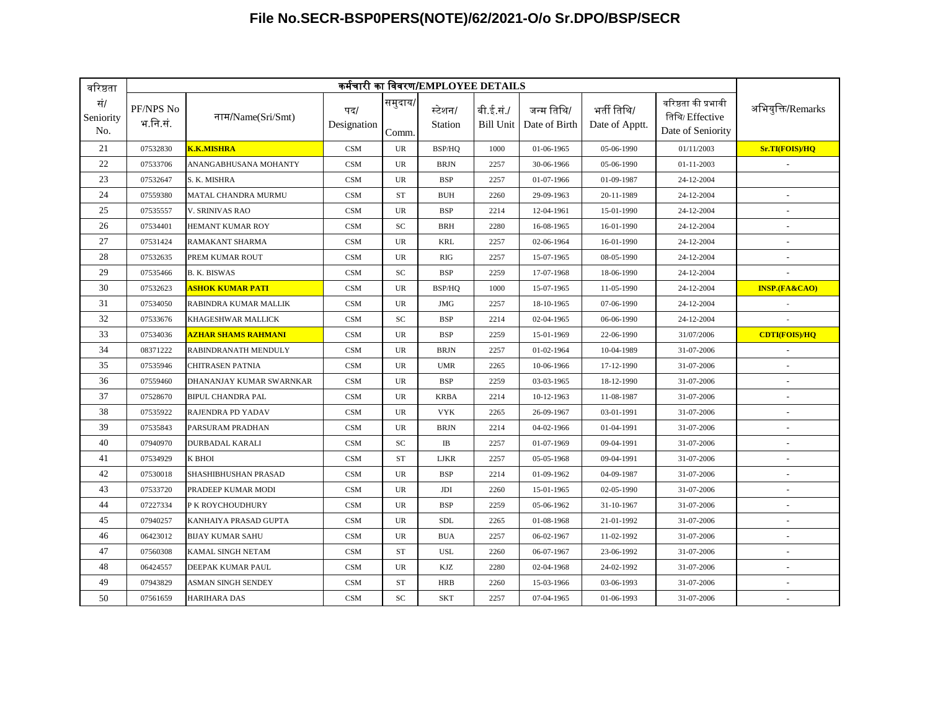| वरिष्ठता                |                       |                                  |                    |                  | कर्मचारी का विवरण/EMPLOYEE DETAILS |           |                                         |                               |                                                             |                          |
|-------------------------|-----------------------|----------------------------------|--------------------|------------------|------------------------------------|-----------|-----------------------------------------|-------------------------------|-------------------------------------------------------------|--------------------------|
| सं/<br>Seniority<br>No. | PF/NPS No<br>भ.नि.सं. | नाम/Name(Sri/Smt)                | पद/<br>Designation | समुदाय/<br>Comm. | स्टेशन/<br>Station                 | बी.ई.सं./ | जन्म तिथि/<br>Bill Unit   Date of Birth | भर्ती तिथि/<br>Date of Apptt. | वरिष्ठता की प्रभावी<br>तिथि/ Effective<br>Date of Seniority | अभियुक्ति/Remarks        |
| 21                      | 07532830              | <b>K.K.MISHRA</b>                | CSM                | <b>UR</b>        | BSP/HQ                             | 1000      | 01-06-1965                              | 05-06-1990                    | 01/11/2003                                                  | Sr.TI(FOIS)/HQ           |
| 22                      | 07533706              | ANANGABHUSANA MOHANTY            | <b>CSM</b>         | <b>UR</b>        | <b>BRJN</b>                        | 2257      | 30-06-1966                              | 05-06-1990                    | 01-11-2003                                                  |                          |
| 23                      | 07532647              | S. K. MISHRA                     | <b>CSM</b>         | <b>UR</b>        | <b>BSP</b>                         | 2257      | 01-07-1966                              | 01-09-1987                    | 24-12-2004                                                  |                          |
| 24                      | 07559380              | MATAL CHANDRA MURMU              | <b>CSM</b>         | <b>ST</b>        | <b>BUH</b>                         | 2260      | 29-09-1963                              | 20-11-1989                    | 24-12-2004                                                  |                          |
| 25                      | 07535557              | V. SRINIVAS RAO                  | <b>CSM</b>         | <b>UR</b>        | <b>BSP</b>                         | 2214      | 12-04-1961                              | 15-01-1990                    | 24-12-2004                                                  |                          |
| 26                      | 07534401              | HEMANT KUMAR ROY                 | <b>CSM</b>         | SC               | <b>BRH</b>                         | 2280      | 16-08-1965                              | 16-01-1990                    | 24-12-2004                                                  |                          |
| 27                      | 07531424              | RAMAKANT SHARMA                  | <b>CSM</b>         | <b>UR</b>        | <b>KRL</b>                         | 2257      | 02-06-1964                              | 16-01-1990                    | 24-12-2004                                                  | $\sim$                   |
| 28                      | 07532635              | PREM KUMAR ROUT                  | <b>CSM</b>         | <b>UR</b>        | <b>RIG</b>                         | 2257      | 15-07-1965                              | 08-05-1990                    | 24-12-2004                                                  |                          |
| 29                      | 07535466              | <b>B. K. BISWAS</b>              | <b>CSM</b>         | <b>SC</b>        | <b>BSP</b>                         | 2259      | 17-07-1968                              | 18-06-1990                    | 24-12-2004                                                  |                          |
| 30                      | 07532623              | <mark>ASHOK KUMAR PATI</mark>    | CSM                | <b>UR</b>        | BSP/HQ                             | 1000      | 15-07-1965                              | 11-05-1990                    | 24-12-2004                                                  | <b>INSP.(FA&amp;CAO)</b> |
| 31                      | 07534050              | RABINDRA KUMAR MALLIK            | <b>CSM</b>         | <b>UR</b>        | <b>JMG</b>                         | 2257      | 18-10-1965                              | 07-06-1990                    | 24-12-2004                                                  |                          |
| 32                      | 07533676              | KHAGESHWAR MALLICK               | CSM                | SC               | <b>BSP</b>                         | 2214      | 02-04-1965                              | 06-06-1990                    | 24-12-2004                                                  |                          |
| 33                      | 07534036              | <mark>AZHAR SHAMS RAHMANI</mark> | CSM                | <b>UR</b>        | <b>BSP</b>                         | 2259      | 15-01-1969                              | 22-06-1990                    | 31/07/2006                                                  | <b>CDTI(FOIS)/HQ</b>     |
| 34                      | 08371222              | RABINDRANATH MENDULY             | <b>CSM</b>         | <b>UR</b>        | <b>BRJN</b>                        | 2257      | 01-02-1964                              | 10-04-1989                    | 31-07-2006                                                  |                          |
| 35                      | 07535946              | <b>CHITRASEN PATNIA</b>          | CSM                | <b>UR</b>        | <b>UMR</b>                         | 2265      | 10-06-1966                              | 17-12-1990                    | 31-07-2006                                                  |                          |
| 36                      | 07559460              | DHANANJAY KUMAR SWARNKAR         | <b>CSM</b>         | <b>UR</b>        | <b>BSP</b>                         | 2259      | 03-03-1965                              | 18-12-1990                    | 31-07-2006                                                  |                          |
| 37                      | 07528670              | <b>BIPUL CHANDRA PAL</b>         | CSM                | <b>UR</b>        | <b>KRBA</b>                        | 2214      | 10-12-1963                              | 11-08-1987                    | 31-07-2006                                                  |                          |
| 38                      | 07535922              | RAJENDRA PD YADAV                | CSM                | <b>UR</b>        | <b>VYK</b>                         | 2265      | 26-09-1967                              | 03-01-1991                    | 31-07-2006                                                  | $\overline{\phantom{a}}$ |
| 39                      | 07535843              | PARSURAM PRADHAN                 | CSM                | <b>UR</b>        | <b>BRJN</b>                        | 2214      | 04-02-1966                              | 01-04-1991                    | 31-07-2006                                                  |                          |
| 40                      | 07940970              | DURBADAL KARALI                  | <b>CSM</b>         | SC               | IB                                 | 2257      | 01-07-1969                              | 09-04-1991                    | 31-07-2006                                                  |                          |
| 41                      | 07534929              | K BHOI                           | <b>CSM</b>         | <b>ST</b>        | <b>LJKR</b>                        | 2257      | 05-05-1968                              | 09-04-1991                    | 31-07-2006                                                  | $\sim$                   |
| 42                      | 07530018              | SHASHIBHUSHAN PRASAD             | <b>CSM</b>         | <b>UR</b>        | <b>BSP</b>                         | 2214      | 01-09-1962                              | 04-09-1987                    | 31-07-2006                                                  |                          |
| 43                      | 07533720              | PRADEEP KUMAR MODI               | <b>CSM</b>         | UR               | JDI                                | 2260      | 15-01-1965                              | 02-05-1990                    | 31-07-2006                                                  |                          |
| 44                      | 07227334              | P K ROYCHOUDHURY                 | <b>CSM</b>         | <b>UR</b>        | <b>BSP</b>                         | 2259      | 05-06-1962                              | 31-10-1967                    | 31-07-2006                                                  | $\sim$                   |
| 45                      | 07940257              | KANHAIYA PRASAD GUPTA            | <b>CSM</b>         | <b>UR</b>        | <b>SDL</b>                         | 2265      | 01-08-1968                              | 21-01-1992                    | 31-07-2006                                                  |                          |
| 46                      | 06423012              | <b>BIJAY KUMAR SAHU</b>          | <b>CSM</b>         | <b>UR</b>        | <b>BUA</b>                         | 2257      | 06-02-1967                              | 11-02-1992                    | 31-07-2006                                                  |                          |
| 47                      | 07560308              | <b>KAMAL SINGH NETAM</b>         | <b>CSM</b>         | <b>ST</b>        | <b>USL</b>                         | 2260      | 06-07-1967                              | 23-06-1992                    | 31-07-2006                                                  |                          |
| 48                      | 06424557              | DEEPAK KUMAR PAUL                | <b>CSM</b>         | <b>UR</b>        | <b>KJZ</b>                         | 2280      | 02-04-1968                              | 24-02-1992                    | 31-07-2006                                                  |                          |
| 49                      | 07943829              | ASMAN SINGH SENDEY               | <b>CSM</b>         | ST               | <b>HRB</b>                         | 2260      | 15-03-1966                              | 03-06-1993                    | 31-07-2006                                                  | $\overline{\phantom{a}}$ |
| 50                      | 07561659              | <b>HARIHARA DAS</b>              | <b>CSM</b>         | <b>SC</b>        | <b>SKT</b>                         | 2257      | 07-04-1965                              | 01-06-1993                    | 31-07-2006                                                  | $\blacksquare$           |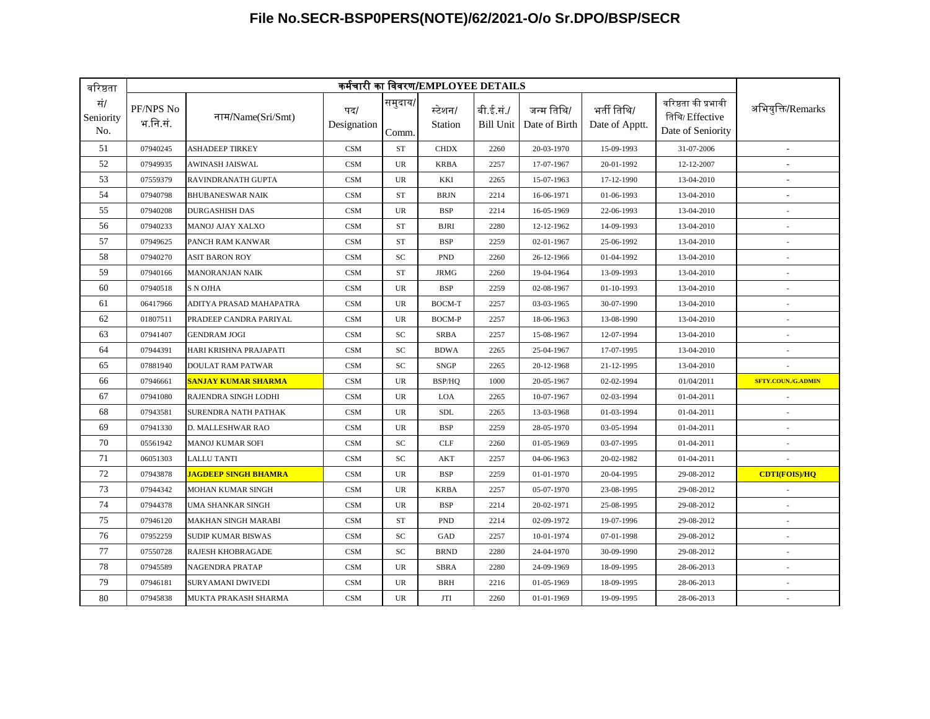| वरिष्ठता                |                       |                                  |                    |                  | कर्मचारी का विवरण/EMPLOYEE DETAILS |                        |                             |                               |                                                             |                           |
|-------------------------|-----------------------|----------------------------------|--------------------|------------------|------------------------------------|------------------------|-----------------------------|-------------------------------|-------------------------------------------------------------|---------------------------|
| सं/<br>Seniority<br>No. | PF/NPS No<br>भ.नि.सं. | नाम/Name(Sri/Smt)                | पद/<br>Designation | समुदाय/<br>Comm. | स्टेशन/<br>Station                 | बी.ई.सं./<br>Bill Unit | जन्म तिथि/<br>Date of Birth | भर्ती तिथि/<br>Date of Apptt. | वरिष्ठता की प्रभावी<br>तिथि/ Effective<br>Date of Seniority | अभियुक्ति/Remarks         |
| 51                      | 07940245              | <b>ASHADEEP TIRKEY</b>           | <b>CSM</b>         | <b>ST</b>        | <b>CHDX</b>                        | 2260                   | 20-03-1970                  | 15-09-1993                    | 31-07-2006                                                  | $\sim$                    |
| 52                      | 07949935              | <b>AWINASH JAISWAL</b>           | <b>CSM</b>         | <b>UR</b>        | <b>KRBA</b>                        | 2257                   | 17-07-1967                  | 20-01-1992                    | 12-12-2007                                                  |                           |
| 53                      | 07559379              | RAVINDRANATH GUPTA               | <b>CSM</b>         | UR               | KKI                                | 2265                   | 15-07-1963                  | 17-12-1990                    | 13-04-2010                                                  |                           |
| 54                      | 07940798              | <b>BHUBANESWAR NAIK</b>          | <b>CSM</b>         | <b>ST</b>        | <b>BRJN</b>                        | 2214                   | 16-06-1971                  | 01-06-1993                    | 13-04-2010                                                  |                           |
| 55                      | 07940208              | <b>DURGASHISH DAS</b>            | <b>CSM</b>         | UR               | <b>BSP</b>                         | 2214                   | 16-05-1969                  | 22-06-1993                    | 13-04-2010                                                  |                           |
| 56                      | 07940233              | MANOJ AJAY XALXO                 | <b>CSM</b>         | <b>ST</b>        | <b>BJRI</b>                        | 2280                   | 12-12-1962                  | 14-09-1993                    | 13-04-2010                                                  |                           |
| 57                      | 07949625              | PANCH RAM KANWAR                 | <b>CSM</b>         | <b>ST</b>        | <b>BSP</b>                         | 2259                   | 02-01-1967                  | 25-06-1992                    | 13-04-2010                                                  | ÷.                        |
| 58                      | 07940270              | <b>ASIT BARON ROY</b>            | <b>CSM</b>         | SC               | <b>PND</b>                         | 2260                   | 26-12-1966                  | 01-04-1992                    | 13-04-2010                                                  |                           |
| 59                      | 07940166              | <b>MANORANJAN NAIK</b>           | <b>CSM</b>         | <b>ST</b>        | JRMG                               | 2260                   | 19-04-1964                  | 13-09-1993                    | 13-04-2010                                                  |                           |
| 60                      | 07940518              | <b>S N OJHA</b>                  | CSM                | <b>UR</b>        | <b>BSP</b>                         | 2259                   | 02-08-1967                  | 01-10-1993                    | 13-04-2010                                                  |                           |
| 61                      | 06417966              | ADITYA PRASAD MAHAPATRA          | <b>CSM</b>         | <b>UR</b>        | BOCM-T                             | 2257                   | 03-03-1965                  | 30-07-1990                    | 13-04-2010                                                  |                           |
| 62                      | 01807511              | PRADEEP CANDRA PARIYAL           | <b>CSM</b>         | UR               | <b>BOCM-P</b>                      | 2257                   | 18-06-1963                  | 13-08-1990                    | 13-04-2010                                                  | $\overline{\phantom{a}}$  |
| 63                      | 07941407              | <b>GENDRAM JOGI</b>              | <b>CSM</b>         | SC               | <b>SRBA</b>                        | 2257                   | 15-08-1967                  | 12-07-1994                    | 13-04-2010                                                  | ×,                        |
| 64                      | 07944391              | HARI KRISHNA PRAJAPATI           | <b>CSM</b>         | SC               | <b>BDWA</b>                        | 2265                   | 25-04-1967                  | 17-07-1995                    | 13-04-2010                                                  |                           |
| 65                      | 07881940              | <b>DOULAT RAM PATWAR</b>         | <b>CSM</b>         | <b>SC</b>        | <b>SNGP</b>                        | 2265                   | 20-12-1968                  | 21-12-1995                    | 13-04-2010                                                  |                           |
| 66                      | 07946661              | <mark>sanjay kumar sharma</mark> | <b>CSM</b>         | <b>UR</b>        | BSP/HQ                             | 1000                   | 20-05-1967                  | 02-02-1994                    | 01/04/2011                                                  | <b>SFTY.COUN./G.ADMIN</b> |
| 67                      | 07941080              | RAJENDRA SINGH LODHI             | CSM                | UR               | LOA                                | 2265                   | 10-07-1967                  | 02-03-1994                    | 01-04-2011                                                  |                           |
| 68                      | 07943581              | <b>SURENDRA NATH PATHAK</b>      | <b>CSM</b>         | UR               | <b>SDL</b>                         | 2265                   | 13-03-1968                  | 01-03-1994                    | 01-04-2011                                                  | $\overline{\phantom{a}}$  |
| 69                      | 07941330              | D. MALLESHWAR RAO                | CSM                | <b>UR</b>        | <b>BSP</b>                         | 2259                   | 28-05-1970                  | 03-05-1994                    | 01-04-2011                                                  |                           |
| 70                      | 05561942              | <b>MANOJ KUMAR SOFI</b>          | <b>CSM</b>         | SC               | <b>CLF</b>                         | 2260                   | 01-05-1969                  | 03-07-1995                    | 01-04-2011                                                  |                           |
| 71                      | 06051303              | <b>LALLU TANTI</b>               | <b>CSM</b>         | <b>SC</b>        | <b>AKT</b>                         | 2257                   | 04-06-1963                  | 20-02-1982                    | 01-04-2011                                                  |                           |
| 72                      | 07943878              | <u>JAGDEEP SINGH BHAMRA</u>      | <b>CSM</b>         | UR               | <b>BSP</b>                         | 2259                   | 01-01-1970                  | 20-04-1995                    | 29-08-2012                                                  | <b>CDTI(FOIS)/HQ</b>      |
| 73                      | 07944342              | <b>MOHAN KUMAR SINGH</b>         | <b>CSM</b>         | UR               | <b>KRBA</b>                        | 2257                   | 05-07-1970                  | 23-08-1995                    | 29-08-2012                                                  |                           |
| 74                      | 07944378              | UMA SHANKAR SINGH                | CSM                | <b>UR</b>        | <b>BSP</b>                         | 2214                   | 20-02-1971                  | 25-08-1995                    | 29-08-2012                                                  |                           |
| 75                      | 07946120              | <b>MAKHAN SINGH MARABI</b>       | <b>CSM</b>         | <b>ST</b>        | <b>PND</b>                         | 2214                   | 02-09-1972                  | 19-07-1996                    | 29-08-2012                                                  | ×,                        |
| 76                      | 07952259              | <b>SUDIP KUMAR BISWAS</b>        | <b>CSM</b>         | SC               | GAD                                | 2257                   | 10-01-1974                  | 07-01-1998                    | 29-08-2012                                                  |                           |
| 77                      | 07550728              | <b>RAJESH KHOBRAGADE</b>         | <b>CSM</b>         | SC               | <b>BRND</b>                        | 2280                   | 24-04-1970                  | 30-09-1990                    | 29-08-2012                                                  |                           |
| 78                      | 07945589              | <b>NAGENDRA PRATAP</b>           | <b>CSM</b>         | <b>UR</b>        | <b>SBRA</b>                        | 2280                   | 24-09-1969                  | 18-09-1995                    | 28-06-2013                                                  |                           |
| 79                      | 07946181              | <b>SURYAMANI DWIVEDI</b>         | <b>CSM</b>         | UR               | <b>BRH</b>                         | 2216                   | 01-05-1969                  | 18-09-1995                    | 28-06-2013                                                  |                           |
| 80                      | 07945838              | MUKTA PRAKASH SHARMA             | <b>CSM</b>         | <b>UR</b>        | <b>JTI</b>                         | 2260                   | 01-01-1969                  | 19-09-1995                    | 28-06-2013                                                  | ×.                        |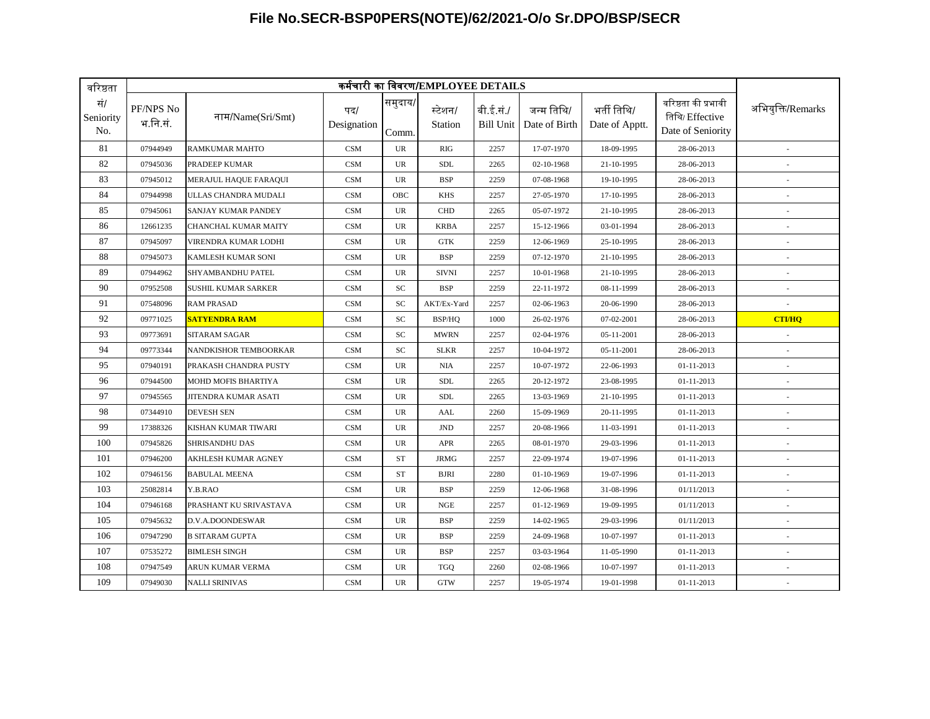| वरिष्ठता                |                       |                            |                    |                  | कर्मचारी का विवरण/EMPLOYEE DETAILS |                               |                             |                               |                                                             |                          |
|-------------------------|-----------------------|----------------------------|--------------------|------------------|------------------------------------|-------------------------------|-----------------------------|-------------------------------|-------------------------------------------------------------|--------------------------|
| सं/<br>Seniority<br>No. | PF/NPS No<br>भ.नि.सं. | नाम/Name(Sri/Smt)          | पद/<br>Designation | समुदाय/<br>Comm. | स्टेशन/<br>Station                 | बी.ई.सं./<br><b>Bill Unit</b> | जन्म तिथि/<br>Date of Birth | भर्ती तिथि/<br>Date of Apptt. | वरिष्ठता की प्रभावी<br>तिथि/ Effective<br>Date of Seniority | अभियुक्ति/Remarks        |
| 81                      | 07944949              | RAMKUMAR MAHTO             | <b>CSM</b>         | UR               | <b>RIG</b>                         | 2257                          | 17-07-1970                  | 18-09-1995                    | 28-06-2013                                                  |                          |
| 82                      | 07945036              | PRADEEP KUMAR              | <b>CSM</b>         | UR               | <b>SDL</b>                         | 2265                          | 02-10-1968                  | 21-10-1995                    | 28-06-2013                                                  |                          |
| 83                      | 07945012              | MERAJUL HAQUE FARAQUI      | <b>CSM</b>         | <b>UR</b>        | <b>BSP</b>                         | 2259                          | 07-08-1968                  | 19-10-1995                    | 28-06-2013                                                  |                          |
| 84                      | 07944998              | ULLAS CHANDRA MUDALI       | <b>CSM</b>         | OBC              | <b>KHS</b>                         | 2257                          | 27-05-1970                  | 17-10-1995                    | 28-06-2013                                                  | $\overline{\phantom{a}}$ |
| 85                      | 07945061              | SANJAY KUMAR PANDEY        | <b>CSM</b>         | UR               | <b>CHD</b>                         | 2265                          | 05-07-1972                  | 21-10-1995                    | 28-06-2013                                                  |                          |
| 86                      | 12661235              | CHANCHAL KUMAR MAITY       | <b>CSM</b>         | <b>UR</b>        | <b>KRBA</b>                        | 2257                          | 15-12-1966                  | 03-01-1994                    | 28-06-2013                                                  |                          |
| 87                      | 07945097              | VIRENDRA KUMAR LODHI       | <b>CSM</b>         | UR               | GTK                                | 2259                          | 12-06-1969                  | 25-10-1995                    | 28-06-2013                                                  |                          |
| 88                      | 07945073              | KAMLESH KUMAR SONI         | <b>CSM</b>         | <b>UR</b>        | <b>BSP</b>                         | 2259                          | 07-12-1970                  | 21-10-1995                    | 28-06-2013                                                  | $\sim$                   |
| 89                      | 07944962              | SHYAMBANDHU PATEL          | <b>CSM</b>         | <b>UR</b>        | <b>SIVNI</b>                       | 2257                          | 10-01-1968                  | 21-10-1995                    | 28-06-2013                                                  |                          |
| 90                      | 07952508              | <b>SUSHIL KUMAR SARKER</b> | <b>CSM</b>         | SC               | <b>BSP</b>                         | 2259                          | 22-11-1972                  | 08-11-1999                    | 28-06-2013                                                  |                          |
| 91                      | 07548096              | <b>RAM PRASAD</b>          | <b>CSM</b>         | SC               | AKT/Ex-Yard                        | 2257                          | 02-06-1963                  | 20-06-1990                    | 28-06-2013                                                  |                          |
| 92                      | 09771025              | <b>SATYENDRA RAM</b>       | <b>CSM</b>         | <b>SC</b>        | BSP/HO                             | 1000                          | 26-02-1976                  | 07-02-2001                    | 28-06-2013                                                  | <b>CTI/HO</b>            |
| 93                      | 09773691              | SITARAM SAGAR              | <b>CSM</b>         | SC               | <b>MWRN</b>                        | 2257                          | 02-04-1976                  | 05-11-2001                    | 28-06-2013                                                  |                          |
| 94                      | 09773344              | NANDKISHOR TEMBOORKAR      | <b>CSM</b>         | SC               | <b>SLKR</b>                        | 2257                          | 10-04-1972                  | 05-11-2001                    | 28-06-2013                                                  |                          |
| 95                      | 07940191              | PRAKASH CHANDRA PUSTY      | <b>CSM</b>         | <b>UR</b>        | <b>NIA</b>                         | 2257                          | 10-07-1972                  | 22-06-1993                    | 01-11-2013                                                  |                          |
| 96                      | 07944500              | <b>MOHD MOFIS BHARTIYA</b> | <b>CSM</b>         | <b>UR</b>        | <b>SDL</b>                         | 2265                          | 20-12-1972                  | 23-08-1995                    | 01-11-2013                                                  | $\overline{\phantom{a}}$ |
| 97                      | 07945565              | JITENDRA KUMAR ASATI       | <b>CSM</b>         | <b>UR</b>        | <b>SDL</b>                         | 2265                          | 13-03-1969                  | 21-10-1995                    | 01-11-2013                                                  |                          |
| 98                      | 07344910              | <b>DEVESH SEN</b>          | <b>CSM</b>         | UR               | AAL                                | 2260                          | 15-09-1969                  | 20-11-1995                    | 01-11-2013                                                  |                          |
| 99                      | 17388326              | KISHAN KUMAR TIWARI        | <b>CSM</b>         | UR               | $\mathbf{JND}$                     | 2257                          | 20-08-1966                  | 11-03-1991                    | 01-11-2013                                                  |                          |
| 100                     | 07945826              | <b>SHRISANDHU DAS</b>      | <b>CSM</b>         | UR               | <b>APR</b>                         | 2265                          | 08-01-1970                  | 29-03-1996                    | 01-11-2013                                                  | $\overline{\phantom{a}}$ |
| 101                     | 07946200              | <b>AKHLESH KUMAR AGNEY</b> | <b>CSM</b>         | <b>ST</b>        | <b>JRMG</b>                        | 2257                          | 22-09-1974                  | 19-07-1996                    | 01-11-2013                                                  |                          |
| 102                     | 07946156              | <b>BABULAL MEENA</b>       | <b>CSM</b>         | <b>ST</b>        | <b>BJRI</b>                        | 2280                          | 01-10-1969                  | 19-07-1996                    | 01-11-2013                                                  |                          |
| 103                     | 25082814              | Y.B.RAO                    | <b>CSM</b>         | UR               | <b>BSP</b>                         | 2259                          | 12-06-1968                  | 31-08-1996                    | 01/11/2013                                                  |                          |
| 104                     | 07946168              | PRASHANT KU SRIVASTAVA     | <b>CSM</b>         | UR               | <b>NGE</b>                         | 2257                          | 01-12-1969                  | 19-09-1995                    | 01/11/2013                                                  |                          |
| 105                     | 07945632              | D.V.A.DOONDESWAR           | <b>CSM</b>         | <b>UR</b>        | <b>BSP</b>                         | 2259                          | 14-02-1965                  | 29-03-1996                    | 01/11/2013                                                  | ä,                       |
| 106                     | 07947290              | <b>B SITARAM GUPTA</b>     | <b>CSM</b>         | <b>UR</b>        | <b>BSP</b>                         | 2259                          | 24-09-1968                  | 10-07-1997                    | 01-11-2013                                                  |                          |
| 107                     | 07535272              | <b>BIMLESH SINGH</b>       | <b>CSM</b>         | UR               | <b>BSP</b>                         | 2257                          | 03-03-1964                  | 11-05-1990                    | 01-11-2013                                                  |                          |
| 108                     | 07947549              | ARUN KUMAR VERMA           | <b>CSM</b>         | <b>UR</b>        | <b>TGQ</b>                         | 2260                          | 02-08-1966                  | 10-07-1997                    | 01-11-2013                                                  |                          |
| 109                     | 07949030              | <b>NALLI SRINIVAS</b>      | <b>CSM</b>         | <b>UR</b>        | <b>GTW</b>                         | 2257                          | 19-05-1974                  | 19-01-1998                    | 01-11-2013                                                  | ×.                       |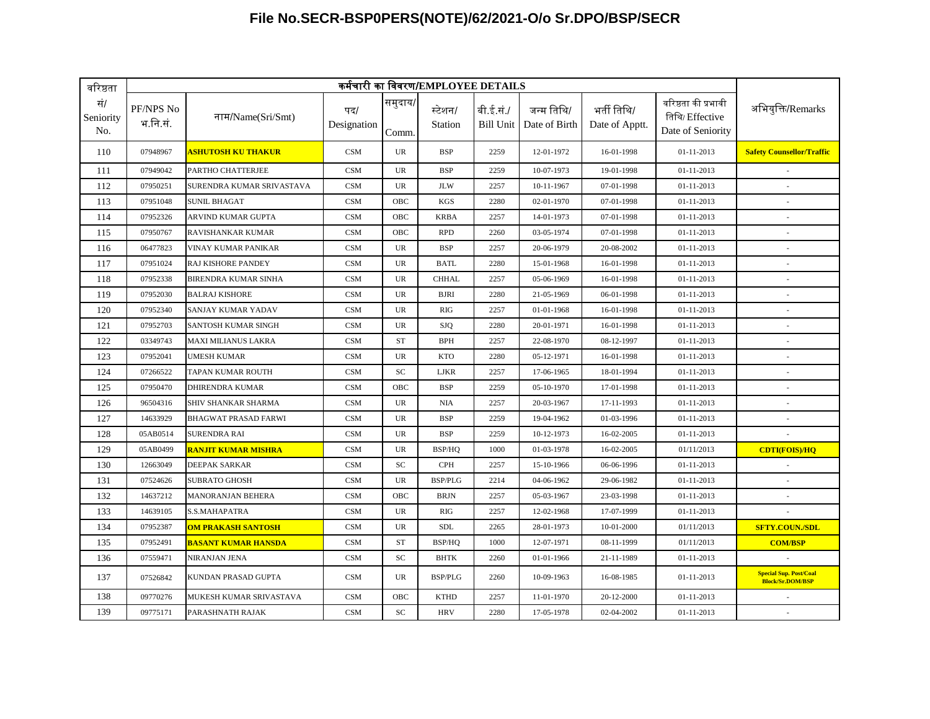| वरिष्ठता                | कर्मचारी का विवरण/EMPLOYEE DETAILS |                                 |                    |                  |                    |                               |                             |                               |                                                             |                                                          |  |  |
|-------------------------|------------------------------------|---------------------------------|--------------------|------------------|--------------------|-------------------------------|-----------------------------|-------------------------------|-------------------------------------------------------------|----------------------------------------------------------|--|--|
| सं/<br>Seniority<br>No. | PF/NPS No<br>भ.नि.सं.              | नाम/Name(Sri/Smt)               | पद/<br>Designation | समुदाय/<br>Comm. | स्टेशन/<br>Station | बी.ई.सं./<br><b>Bill Unit</b> | जन्म तिथि/<br>Date of Birth | भर्ती तिथि/<br>Date of Apptt. | वरिष्ठता की प्रभावी<br>तिथि/ Effective<br>Date of Seniority | अभियुक्ति/Remarks                                        |  |  |
| 110                     | 07948967                           | <mark>ASHUTOSH KU THAKUR</mark> | CSM                | <b>UR</b>        | <b>BSP</b>         | 2259                          | 12-01-1972                  | 16-01-1998                    | 01-11-2013                                                  | <b>Safety Counsellor/Traffic</b>                         |  |  |
| 111                     | 07949042                           | PARTHO CHATTERJEE               | <b>CSM</b>         | <b>UR</b>        | <b>BSP</b>         | 2259                          | 10-07-1973                  | 19-01-1998                    | 01-11-2013                                                  |                                                          |  |  |
| 112                     | 07950251                           | SURENDRA KUMAR SRIVASTAVA       | <b>CSM</b>         | <b>UR</b>        | <b>JLW</b>         | 2257                          | 10-11-1967                  | 07-01-1998                    | 01-11-2013                                                  |                                                          |  |  |
| 113                     | 07951048                           | <b>SUNIL BHAGAT</b>             | <b>CSM</b>         | OBC              | <b>KGS</b>         | 2280                          | 02-01-1970                  | 07-01-1998                    | 01-11-2013                                                  | $\sim$                                                   |  |  |
| 114                     | 07952326                           | ARVIND KUMAR GUPTA              | <b>CSM</b>         | OBC              | <b>KRBA</b>        | 2257                          | 14-01-1973                  | 07-01-1998                    | 01-11-2013                                                  | ×.                                                       |  |  |
| 115                     | 07950767                           | RAVISHANKAR KUMAR               | CSM                | OBC              | <b>RPD</b>         | 2260                          | 03-05-1974                  | 07-01-1998                    | 01-11-2013                                                  | ×,                                                       |  |  |
| 116                     | 06477823                           | VINAY KUMAR PANIKAR             | <b>CSM</b>         | <b>UR</b>        | <b>BSP</b>         | 2257                          | 20-06-1979                  | 20-08-2002                    | 01-11-2013                                                  |                                                          |  |  |
| 117                     | 07951024                           | <b>RAJ KISHORE PANDEY</b>       | <b>CSM</b>         | UR               | <b>BATL</b>        | 2280                          | 15-01-1968                  | 16-01-1998                    | 01-11-2013                                                  |                                                          |  |  |
| 118                     | 07952338                           | <b>BIRENDRA KUMAR SINHA</b>     | <b>CSM</b>         | <b>UR</b>        | <b>CHHAL</b>       | 2257                          | 05-06-1969                  | 16-01-1998                    | 01-11-2013                                                  |                                                          |  |  |
| 119                     | 07952030                           | <b>BALRAJ KISHORE</b>           | <b>CSM</b>         | UR               | <b>BJRI</b>        | 2280                          | 21-05-1969                  | 06-01-1998                    | 01-11-2013                                                  |                                                          |  |  |
| 120                     | 07952340                           | SANJAY KUMAR YADAV              | <b>CSM</b>         | <b>UR</b>        | RIG                | 2257                          | 01-01-1968                  | 16-01-1998                    | $01 - 11 - 2013$                                            |                                                          |  |  |
| 121                     | 07952703                           | SANTOSH KUMAR SINGH             | <b>CSM</b>         | <b>UR</b>        | <b>SJQ</b>         | 2280                          | 20-01-1971                  | 16-01-1998                    | 01-11-2013                                                  | ×,                                                       |  |  |
| 122                     | 03349743                           | <b>MAXI MILIANUS LAKRA</b>      | <b>CSM</b>         | <b>ST</b>        | <b>BPH</b>         | 2257                          | 22-08-1970                  | 08-12-1997                    | 01-11-2013                                                  | $\overline{\phantom{a}}$                                 |  |  |
| 123                     | 07952041                           | <b>UMESH KUMAR</b>              | CSM                | <b>UR</b>        | <b>KTO</b>         | 2280                          | 05-12-1971                  | 16-01-1998                    | 01-11-2013                                                  | ×.                                                       |  |  |
| 124                     | 07266522                           | TAPAN KUMAR ROUTH               | <b>CSM</b>         | SC               | <b>LJKR</b>        | 2257                          | 17-06-1965                  | 18-01-1994                    | 01-11-2013                                                  |                                                          |  |  |
| 125                     | 07950470                           | <b>DHIRENDRA KUMAR</b>          | <b>CSM</b>         | OBC              | <b>BSP</b>         | 2259                          | 05-10-1970                  | 17-01-1998                    | 01-11-2013                                                  |                                                          |  |  |
| 126                     | 96504316                           | SHIV SHANKAR SHARMA             | <b>CSM</b>         | UR               | <b>NIA</b>         | 2257                          | 20-03-1967                  | 17-11-1993                    | 01-11-2013                                                  |                                                          |  |  |
| 127                     | 14633929                           | <b>BHAGWAT PRASAD FARWI</b>     | <b>CSM</b>         | UR               | <b>BSP</b>         | 2259                          | 19-04-1962                  | 01-03-1996                    | 01-11-2013                                                  |                                                          |  |  |
| 128                     | 05AB0514                           | SURENDRA RAI                    | <b>CSM</b>         | <b>UR</b>        | <b>BSP</b>         | 2259                          | 10-12-1973                  | 16-02-2005                    | 01-11-2013                                                  |                                                          |  |  |
| 129                     | 05AB0499                           | <b>RANJIT KUMAR MISHRA</b>      | <b>CSM</b>         | <b>UR</b>        | BSP/HQ             | 1000                          | 01-03-1978                  | 16-02-2005                    | 01/11/2013                                                  | <b>CDTI(FOIS)/HQ</b>                                     |  |  |
| 130                     | 12663049                           | DEEPAK SARKAR                   | CSM                | SC               | <b>CPH</b>         | 2257                          | 15-10-1966                  | 06-06-1996                    | 01-11-2013                                                  |                                                          |  |  |
| 131                     | 07524626                           | SUBRATO GHOSH                   | <b>CSM</b>         | <b>UR</b>        | <b>BSP/PLG</b>     | 2214                          | 04-06-1962                  | 29-06-1982                    | 01-11-2013                                                  | $\overline{\phantom{a}}$                                 |  |  |
| 132                     | 14637212                           | MANORANJAN BEHERA               | CSM                | OBC              | <b>BRJN</b>        | 2257                          | 05-03-1967                  | 23-03-1998                    | 01-11-2013                                                  | $\overline{\phantom{a}}$                                 |  |  |
| 133                     | 14639105                           | S.S.MAHAPATRA                   | <b>CSM</b>         | <b>UR</b>        | RIG                | 2257                          | 12-02-1968                  | 17-07-1999                    | 01-11-2013                                                  |                                                          |  |  |
| 134                     | 07952387                           | <b>OM PRAKASH SANTOSH</b>       | <b>CSM</b>         | <b>UR</b>        | <b>SDL</b>         | 2265                          | 28-01-1973                  | 10-01-2000                    | 01/11/2013                                                  | <b>SFTY.COUN./SDL</b>                                    |  |  |
| 135                     | 07952491                           | <b>BASANT KUMAR HANSDA</b>      | <b>CSM</b>         | <b>ST</b>        | BSP/HQ             | 1000                          | 12-07-1971                  | 08-11-1999                    | 01/11/2013                                                  | <b>COM/BSP</b>                                           |  |  |
| 136                     | 07559471                           | NIRANJAN JENA                   | <b>CSM</b>         | <b>SC</b>        | <b>BHTK</b>        | 2260                          | 01-01-1966                  | 21-11-1989                    | 01-11-2013                                                  |                                                          |  |  |
| 137                     | 07526842                           | KUNDAN PRASAD GUPTA             | <b>CSM</b>         | <b>UR</b>        | <b>BSP/PLG</b>     | 2260                          | 10-09-1963                  | 16-08-1985                    | 01-11-2013                                                  | <b>Special Sup. Post/Coal</b><br><b>Block/Sr.DOM/BSP</b> |  |  |
| 138                     | 09770276                           | MUKESH KUMAR SRIVASTAVA         | <b>CSM</b>         | OBC              | <b>KTHD</b>        | 2257                          | 11-01-1970                  | 20-12-2000                    | 01-11-2013                                                  |                                                          |  |  |
| 139                     | 09775171                           | PARASHNATH RAJAK                | <b>CSM</b>         | SC               | <b>HRV</b>         | 2280                          | 17-05-1978                  | 02-04-2002                    | 01-11-2013                                                  |                                                          |  |  |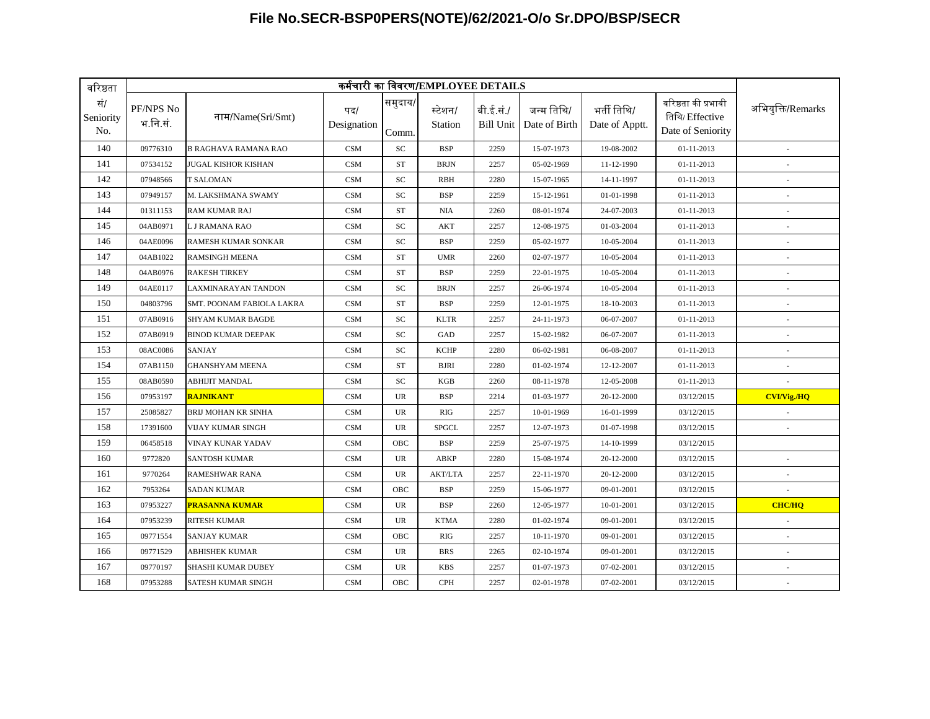| वरिष्ठता                |                       |                             |                    |                  | कर्मचारी का विवरण/EMPLOYEE DETAILS |                        |                             |                               |                                                             |                          |
|-------------------------|-----------------------|-----------------------------|--------------------|------------------|------------------------------------|------------------------|-----------------------------|-------------------------------|-------------------------------------------------------------|--------------------------|
| सं/<br>Seniority<br>No. | PF/NPS No<br>भ.नि.सं. | नाम/Name(Sri/Smt)           | पद/<br>Designation | समुदाय/<br>Comm. | स्टेशन/<br>Station                 | बी.ई.सं./<br>Bill Unit | जन्म तिथि/<br>Date of Birth | भर्ती तिथि/<br>Date of Apptt. | वरिष्ठता की प्रभावी<br>तिथि/ Effective<br>Date of Seniority | अभियुक्ति/Remarks        |
| 140                     | 09776310              | <b>B RAGHAVA RAMANA RAO</b> | <b>CSM</b>         | <b>SC</b>        | <b>BSP</b>                         | 2259                   | 15-07-1973                  | 19-08-2002                    | 01-11-2013                                                  |                          |
| 141                     | 07534152              | JUGAL KISHOR KISHAN         | <b>CSM</b>         | <b>ST</b>        | <b>BRJN</b>                        | 2257                   | 05-02-1969                  | 11-12-1990                    | 01-11-2013                                                  |                          |
| 142                     | 07948566              | T SALOMAN                   | <b>CSM</b>         | SC               | <b>RBH</b>                         | 2280                   | 15-07-1965                  | 14-11-1997                    | 01-11-2013                                                  |                          |
| 143                     | 07949157              | M. LAKSHMANA SWAMY          | CSM                | SC               | <b>BSP</b>                         | 2259                   | 15-12-1961                  | 01-01-1998                    | 01-11-2013                                                  | $\sim$                   |
| 144                     | 01311153              | <b>RAM KUMAR RAJ</b>        | <b>CSM</b>         | <b>ST</b>        | <b>NIA</b>                         | 2260                   | 08-01-1974                  | 24-07-2003                    | 01-11-2013                                                  |                          |
| 145                     | 04AB0971              | L J RAMANA RAO              | CSM                | SC               | AKT                                | 2257                   | 12-08-1975                  | 01-03-2004                    | 01-11-2013                                                  |                          |
| 146                     | 04AE0096              | RAMESH KUMAR SONKAR         | <b>CSM</b>         | SC               | <b>BSP</b>                         | 2259                   | 05-02-1977                  | 10-05-2004                    | 01-11-2013                                                  |                          |
| 147                     | 04AB1022              | <b>RAMSINGH MEENA</b>       | CSM                | <b>ST</b>        | <b>UMR</b>                         | 2260                   | 02-07-1977                  | 10-05-2004                    | 01-11-2013                                                  | $\overline{\phantom{a}}$ |
| 148                     | 04AB0976              | <b>RAKESH TIRKEY</b>        | <b>CSM</b>         | <b>ST</b>        | <b>BSP</b>                         | 2259                   | 22-01-1975                  | 10-05-2004                    | 01-11-2013                                                  |                          |
| 149                     | 04AE0117              | <b>LAXMINARAYAN TANDON</b>  | CSM                | <b>SC</b>        | <b>BRJN</b>                        | 2257                   | 26-06-1974                  | 10-05-2004                    | 01-11-2013                                                  |                          |
| 150                     | 04803796              | SMT. POONAM FABIOLA LAKRA   | <b>CSM</b>         | <b>ST</b>        | <b>BSP</b>                         | 2259                   | 12-01-1975                  | 18-10-2003                    | 01-11-2013                                                  |                          |
| 151                     | 07AB0916              | <b>SHYAM KUMAR BAGDE</b>    | CSM                | SC               | <b>KLTR</b>                        | 2257                   | 24-11-1973                  | 06-07-2007                    | 01-11-2013                                                  | $\overline{\phantom{a}}$ |
| 152                     | 07AB0919              | <b>BINOD KUMAR DEEPAK</b>   | <b>CSM</b>         | <b>SC</b>        | GAD                                | 2257                   | 15-02-1982                  | 06-07-2007                    | 01-11-2013                                                  |                          |
| 153                     | 08AC0086              | SANJAY                      | <b>CSM</b>         | SC               | <b>KCHP</b>                        | 2280                   | 06-02-1981                  | 06-08-2007                    | 01-11-2013                                                  |                          |
| 154                     | 07AB1150              | <b>GHANSHYAM MEENA</b>      | <b>CSM</b>         | <b>ST</b>        | <b>BJRI</b>                        | 2280                   | 01-02-1974                  | 12-12-2007                    | 01-11-2013                                                  |                          |
| 155                     | 08AB0590              | <b>ABHIJIT MANDAL</b>       | <b>CSM</b>         | SC               | KGB                                | 2260                   | 08-11-1978                  | 12-05-2008                    | 01-11-2013                                                  |                          |
| 156                     | 07953197              | <b>RAJNIKANT</b>            | <b>CSM</b>         | <b>UR</b>        | <b>BSP</b>                         | 2214                   | 01-03-1977                  | 20-12-2000                    | 03/12/2015                                                  | <b>CVI/Vig./HQ</b>       |
| 157                     | 25085827              | <b>BRIJ MOHAN KR SINHA</b>  | <b>CSM</b>         | <b>UR</b>        | <b>RIG</b>                         | 2257                   | 10-01-1969                  | 16-01-1999                    | 03/12/2015                                                  |                          |
| 158                     | 17391600              | VIJAY KUMAR SINGH           | <b>CSM</b>         | <b>UR</b>        | <b>SPGCL</b>                       | 2257                   | 12-07-1973                  | 01-07-1998                    | 03/12/2015                                                  |                          |
| 159                     | 06458518              | VINAY KUNAR YADAV           | <b>CSM</b>         | OBC              | <b>BSP</b>                         | 2259                   | 25-07-1975                  | 14-10-1999                    | 03/12/2015                                                  |                          |
| 160                     | 9772820               | SANTOSH KUMAR               | CSM                | <b>UR</b>        | <b>ABKP</b>                        | 2280                   | 15-08-1974                  | 20-12-2000                    | 03/12/2015                                                  | $\overline{\phantom{a}}$ |
| 161                     | 9770264               | <b>RAMESHWAR RANA</b>       | <b>CSM</b>         | <b>UR</b>        | <b>AKT/LTA</b>                     | 2257                   | 22-11-1970                  | 20-12-2000                    | 03/12/2015                                                  |                          |
| 162                     | 7953264               | <b>SADAN KUMAR</b>          | <b>CSM</b>         | OBC              | <b>BSP</b>                         | 2259                   | 15-06-1977                  | 09-01-2001                    | 03/12/2015                                                  |                          |
| 163                     | 07953227              | <mark>PRASANNA KUMAR</mark> | <b>CSM</b>         | UR               | <b>BSP</b>                         | 2260                   | 12-05-1977                  | 10-01-2001                    | 03/12/2015                                                  | <b>CHC/HQ</b>            |
| 164                     | 07953239              | <b>RITESH KUMAR</b>         | <b>CSM</b>         | <b>UR</b>        | <b>KTMA</b>                        | 2280                   | 01-02-1974                  | 09-01-2001                    | 03/12/2015                                                  |                          |
| 165                     | 09771554              | <b>SANJAY KUMAR</b>         | <b>CSM</b>         | OBC              | RIG                                | 2257                   | 10-11-1970                  | 09-01-2001                    | 03/12/2015                                                  |                          |
| 166                     | 09771529              | <b>ABHISHEK KUMAR</b>       | <b>CSM</b>         | <b>UR</b>        | <b>BRS</b>                         | 2265                   | 02-10-1974                  | 09-01-2001                    | 03/12/2015                                                  |                          |
| 167                     | 09770197              | SHASHI KUMAR DUBEY          | <b>CSM</b>         | <b>UR</b>        | <b>KBS</b>                         | 2257                   | 01-07-1973                  | 07-02-2001                    | 03/12/2015                                                  |                          |
| 168                     | 07953288              | SATESH KUMAR SINGH          | CSM                | OBC              | <b>CPH</b>                         | 2257                   | 02-01-1978                  | 07-02-2001                    | 03/12/2015                                                  | $\sim$                   |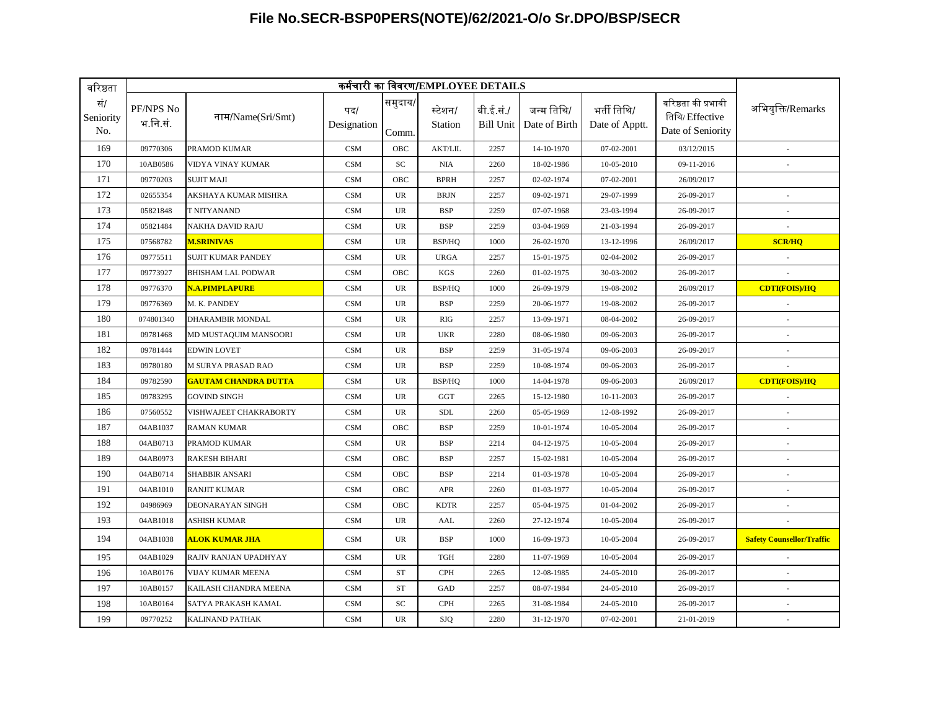| वरिष्ठता                | कर्मचारी का विवरण/EMPLOYEE DETAILS |                                   |                    |                  |                    |                               |                             |                               |                                                             |                                  |  |
|-------------------------|------------------------------------|-----------------------------------|--------------------|------------------|--------------------|-------------------------------|-----------------------------|-------------------------------|-------------------------------------------------------------|----------------------------------|--|
| सं/<br>Seniority<br>No. | PF/NPS No<br>भ.नि.सं.              | नाम/Name(Sri/Smt)                 | पद/<br>Designation | समुदाय/<br>Comm. | स्टेशन/<br>Station | बी.ई.सं./<br><b>Bill Unit</b> | जन्म तिथि/<br>Date of Birth | भर्ती तिथि/<br>Date of Apptt. | वरिष्ठता की प्रभावी<br>तिथि/ Effective<br>Date of Seniority | अभियुक्ति/Remarks                |  |
| 169                     | 09770306                           | PRAMOD KUMAR                      | <b>CSM</b>         | OBC              | <b>AKT/LIL</b>     | 2257                          | 14-10-1970                  | 07-02-2001                    | 03/12/2015                                                  |                                  |  |
| 170                     | 10AB0586                           | VIDYA VINAY KUMAR                 | <b>CSM</b>         | SC               | <b>NIA</b>         | 2260                          | 18-02-1986                  | 10-05-2010                    | 09-11-2016                                                  |                                  |  |
| 171                     | 09770203                           | <b>SUJIT MAJI</b>                 | <b>CSM</b>         | OBC              | <b>BPRH</b>        | 2257                          | 02-02-1974                  | 07-02-2001                    | 26/09/2017                                                  |                                  |  |
| 172                     | 02655354                           | AKSHAYA KUMAR MISHRA              | <b>CSM</b>         | UR               | <b>BRJN</b>        | 2257                          | 09-02-1971                  | 29-07-1999                    | 26-09-2017                                                  |                                  |  |
| 173                     | 05821848                           | T NITYANAND                       | CSM                | UR               | <b>BSP</b>         | 2259                          | 07-07-1968                  | 23-03-1994                    | 26-09-2017                                                  |                                  |  |
| 174                     | 05821484                           | <b>NAKHA DAVID RAJU</b>           | CSM                | <b>UR</b>        | <b>BSP</b>         | 2259                          | 03-04-1969                  | 21-03-1994                    | 26-09-2017                                                  |                                  |  |
| 175                     | 07568782                           | <b>M.SRINIVAS</b>                 | <b>CSM</b>         | <b>UR</b>        | BSP/HO             | 1000                          | 26-02-1970                  | 13-12-1996                    | 26/09/2017                                                  | <b>SCR/HQ</b>                    |  |
| 176                     | 09775511                           | <b>SUJIT KUMAR PANDEY</b>         | <b>CSM</b>         | <b>UR</b>        | <b>URGA</b>        | 2257                          | 15-01-1975                  | 02-04-2002                    | 26-09-2017                                                  |                                  |  |
| 177                     | 09773927                           | <b>BHISHAM LAL PODWAR</b>         | <b>CSM</b>         | OBC              | <b>KGS</b>         | 2260                          | 01-02-1975                  | 30-03-2002                    | 26-09-2017                                                  |                                  |  |
| 178                     | 09776370                           | N.A.PIMPLAPURE                    | <b>CSM</b>         | UR               | BSP/HQ             | 1000                          | 26-09-1979                  | 19-08-2002                    | 26/09/2017                                                  | <b>CDTI(FOIS)/HQ</b>             |  |
| 179                     | 09776369                           | M. K. PANDEY                      | CSM                | UR               | <b>BSP</b>         | 2259                          | 20-06-1977                  | 19-08-2002                    | 26-09-2017                                                  |                                  |  |
| 180                     | 074801340                          | <b>DHARAMBIR MONDAL</b>           | <b>CSM</b>         | <b>UR</b>        | RIG                | 2257                          | 13-09-1971                  | 08-04-2002                    | 26-09-2017                                                  |                                  |  |
| 181                     | 09781468                           | MD MUSTAQUIM MANSOORI             | <b>CSM</b>         | <b>UR</b>        | <b>UKR</b>         | 2280                          | 08-06-1980                  | 09-06-2003                    | 26-09-2017                                                  |                                  |  |
| 182                     | 09781444                           | <b>EDWIN LOVET</b>                | <b>CSM</b>         | <b>UR</b>        | <b>BSP</b>         | 2259                          | 31-05-1974                  | 09-06-2003                    | 26-09-2017                                                  |                                  |  |
| 183                     | 09780180                           | <b>M SURYA PRASAD RAO</b>         | <b>CSM</b>         | <b>UR</b>        | <b>BSP</b>         | 2259                          | 10-08-1974                  | 09-06-2003                    | 26-09-2017                                                  |                                  |  |
| 184                     | 09782590                           | <mark>GAUTAM CHANDRA DUTTA</mark> | <b>CSM</b>         | <b>UR</b>        | BSP/HQ             | 1000                          | 14-04-1978                  | 09-06-2003                    | 26/09/2017                                                  | <b>CDTI(FOIS)/HQ</b>             |  |
| 185                     | 09783295                           | <b>GOVIND SINGH</b>               | CSM                | UR               | GGT                | 2265                          | 15-12-1980                  | 10-11-2003                    | 26-09-2017                                                  |                                  |  |
| 186                     | 07560552                           | VISHWAJEET CHAKRABORTY            | <b>CSM</b>         | <b>UR</b>        | <b>SDL</b>         | 2260                          | 05-05-1969                  | 12-08-1992                    | 26-09-2017                                                  |                                  |  |
| 187                     | 04AB1037                           | <b>RAMAN KUMAR</b>                | <b>CSM</b>         | OBC              | <b>BSP</b>         | 2259                          | 10-01-1974                  | 10-05-2004                    | 26-09-2017                                                  |                                  |  |
| 188                     | 04AB0713                           | PRAMOD KUMAR                      | <b>CSM</b>         | UR               | <b>BSP</b>         | 2214                          | 04-12-1975                  | 10-05-2004                    | 26-09-2017                                                  |                                  |  |
| 189                     | 04AB0973                           | <b>RAKESH BIHARI</b>              | <b>CSM</b>         | OBC              | <b>BSP</b>         | 2257                          | 15-02-1981                  | 10-05-2004                    | 26-09-2017                                                  |                                  |  |
| 190                     | 04AB0714                           | <b>SHABBIR ANSARI</b>             | <b>CSM</b>         | OBC              | <b>BSP</b>         | 2214                          | 01-03-1978                  | 10-05-2004                    | 26-09-2017                                                  |                                  |  |
| 191                     | 04AB1010                           | <b>RANJIT KUMAR</b>               | <b>CSM</b>         | OBC              | <b>APR</b>         | 2260                          | 01-03-1977                  | 10-05-2004                    | 26-09-2017                                                  |                                  |  |
| 192                     | 04986969                           | <b>DEONARAYAN SINGH</b>           | <b>CSM</b>         | <b>OBC</b>       | <b>KDTR</b>        | 2257                          | 05-04-1975                  | 01-04-2002                    | 26-09-2017                                                  |                                  |  |
| 193                     | 04AB1018                           | <b>ASHISH KUMAR</b>               | <b>CSM</b>         | <b>UR</b>        | AAL                | 2260                          | 27-12-1974                  | 10-05-2004                    | 26-09-2017                                                  |                                  |  |
| 194                     | 04AB1038                           | <mark>ALOK KUMAR JHA</mark>       | <b>CSM</b>         | <b>UR</b>        | <b>BSP</b>         | 1000                          | 16-09-1973                  | 10-05-2004                    | 26-09-2017                                                  | <b>Safety Counsellor/Traffic</b> |  |
| 195                     | 04AB1029                           | RAJIV RANJAN UPADHYAY             | <b>CSM</b>         | UR               | <b>TGH</b>         | 2280                          | 11-07-1969                  | 10-05-2004                    | 26-09-2017                                                  |                                  |  |
| 196                     | 10AB0176                           | <b>VIJAY KUMAR MEENA</b>          | <b>CSM</b>         | <b>ST</b>        | <b>CPH</b>         | 2265                          | 12-08-1985                  | 24-05-2010                    | 26-09-2017                                                  |                                  |  |
| 197                     | 10AB0157                           | KAILASH CHANDRA MEENA             | <b>CSM</b>         | <b>ST</b>        | GAD                | 2257                          | 08-07-1984                  | 24-05-2010                    | 26-09-2017                                                  |                                  |  |
| 198                     | 10AB0164                           | SATYA PRAKASH KAMAL               | CSM                | SC               | <b>CPH</b>         | 2265                          | 31-08-1984                  | 24-05-2010                    | 26-09-2017                                                  | $\overline{\phantom{a}}$         |  |
| 199                     | 09770252                           | <b>KALINAND PATHAK</b>            | CSM                | <b>UR</b>        | SJQ                | 2280                          | 31-12-1970                  | 07-02-2001                    | 21-01-2019                                                  | ×                                |  |